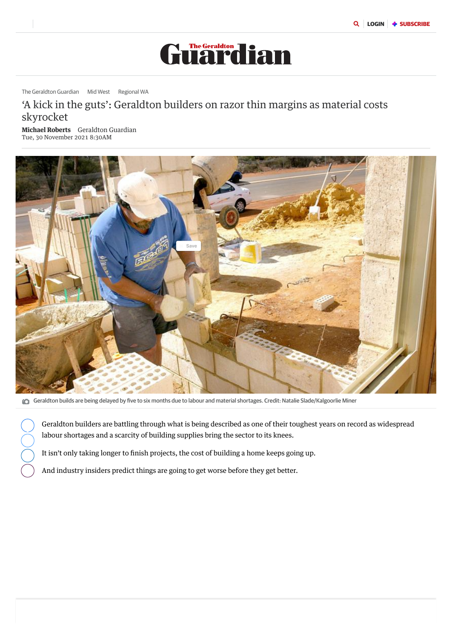# 'A kick in the guts': Geraldton builders on razor thin margins as material costs skyrocket

Michael Roberts Geraldton Guardian Tue, 30 November 2021 8:30AM



The [Geraldton](https://www.geraldtonguardian.com.au/news/geraldton-guardian) Guardian Mid [West](https://www.geraldtonguardian.com.au/news/mid-west) [Regional](https://www.geraldtonguardian.com.au/news/regional) WA



Geraldton builds are being delayed by five to six months due to labour and material shortages. Credit: Natalie Slade/Kalgoorlie Miner

Geraldton builders are battling through what is being described as one of their toughest years on record as widespread labour shortages and a scarcity of building supplies bring the sector to its knees.

It isn't only taking longer to finish projects, the cost of building a home keeps going up.

And industry insiders predict things are going to get worse before they get better.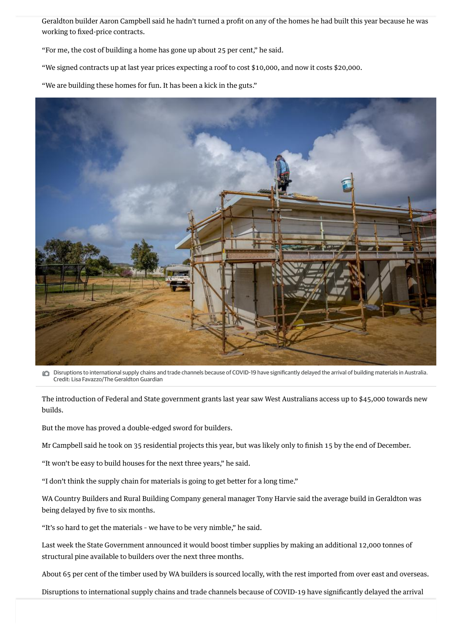

**C** Disruptions to international supply chains and trade channels because of COVID-19 have significantly delayed the arrival of building materials in Australia. Credit: Lisa Favazzo/The Geraldton Guardian

Geraldton builder Aaron Campbell said he hadn't turned a profit on any of the homes he had built this year because he was working to fixed-price contracts.

"For me, the cost of building a home has gone up about 25 per cent," he said.

"We signed contracts up at last year prices expecting a roof to cost \$10,000, and now it costs \$20,000.

"We are building these homes for fun. It has been a kick in the guts."

The introduction of Federal and State government grants last year saw West Australians access up to \$45,000 towards new builds.

But the move has proved a double-edged sword for builders.

Mr Campbell said he took on 35 residential projects this year, but was likely only to finish 15 by the end of December.

"It won't be easy to build houses for the next three years," he said.

"I don't think the supply chain for materials is going to get better for a long time."

WA Country Builders and Rural Building Company general manager Tony Harvie said the average build in Geraldton was being delayed by five to six months.

"It's so hard to get the materials – we have to be very nimble," he said.

Last week the State Government announced it would boost timber supplies by making an additional 12,000 tonnes of structural pine available to builders over the next three months.

About 65 per cent of the timber used by WA builders is sourced locally, with the rest imported from over east and overseas.

Disruptions to international supply chains and trade channels because of COVID-19 have significantly delayed the arrival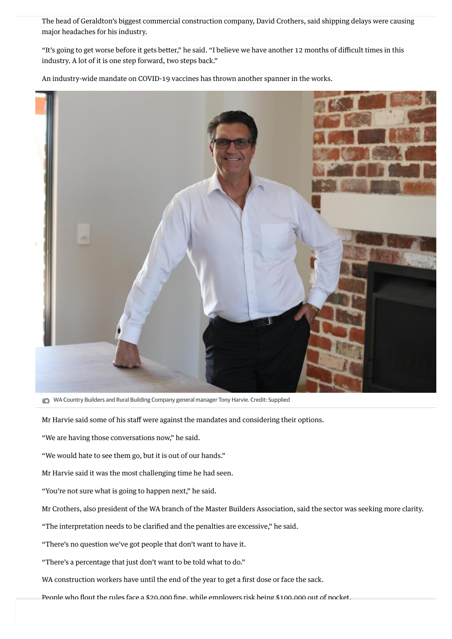The head of Geraldton's biggest commercial construction company, David Crothers, said shipping delays were causing major headaches for his industry.

"It's going to get worse before it gets better," he said. "I believe we have another 12 months of difficult times in this industry. A lot of it is one step forward, two steps back."

An industry-wide mandate on COVID-19 vaccines has thrown another spanner in the works.



**COUNTANA Country Builders and Rural Building Company general manager Tony Harvie. Credit: Supplied** 

Mr Harvie said some of his staff were against the mandates and considering their options.

"We are having those conversations now," he said.

"We would hate to see them go, but it is out of our hands."

Mr Harvie said it was the most challenging time he had seen.

"You're not sure what is going to happen next," he said.

Mr Crothers, also president of the WA branch of the Master Builders Association, said the sector was seeking more clarity.

"The interpretation needs to be clarified and the penalties are excessive," he said.

"There's no question we've got people that don't want to have it.

"There's a percentage that just don't want to be told what to do."

WA construction workers have until the end of the year to get a first dose or face the sack.

People who flout the rules face a \$20,000 fine, while employers risk being \$100,000 out of pocket.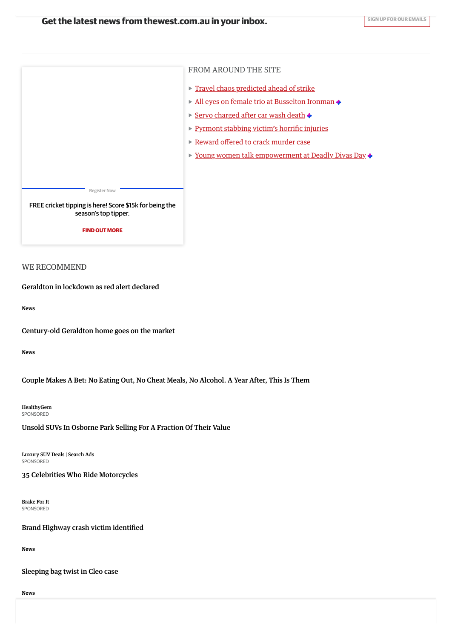## WE RECOMMEND

News

News

[Geraldton](https://www.geraldtonguardian.com.au/news/geraldton-guardian/tropical-cyclone-seroja-geraldton-and-the-mid-west-prepare-to-take-shelter-ng-b881843569z) in lockdown as red alert declared

[Century-old](https://www.geraldtonguardian.com.au/news/geraldton-guardian/geraldton-home-on-fitzgerald-street-built-by-world-war-i-veteran-more-than-100-years-ago-for-sale-ng-b881876382z) Geraldton home goes on the market

HealthyGem [SPONSORED](https://popup.taboola.com/en/?template=colorbox&utm_source=sevenwestmedia-geraldtonguardian&utm_medium=referral&utm_content=thumbs-feed-01-b:Below%20Article%20Thumbnails%20|%20Card%202:)

FROM AROUND THE SITE **Travel chaos [predicted](https://www.geraldtonguardian.com.au/news/bus-drivers-are-preparing-to-strike-across-services-in-sydney-including-a-24-hour-stop-work-action-planned-for-monday-c-4775369) ahead of strike** All eyes on female trio at [Busselton](https://www.geraldtonguardian.com.au/news/busselton-dunsborough-times/all-eyes-on-female-trio-kylie-simpson-kate-bevilaqua-and-sarah-thomas-at-busselton-ironman-ng-b882093876z) Ironman + Servo [charged](https://www.geraldtonguardian.com.au/news/melbourne-service-station-charged-after-man-is-crushed-by-car-wash-and-dies-c-4773701) after car wash death  $\triangle$ [Pyrmont](https://www.geraldtonguardian.com.au/news/bus-drivers-are-preparing-to-strike-across-services-in-sydney-including-a-24-hour-stop-work-action-planned-for-monday-c-4775369) stabbing victim's horrific injuries ▶ [Reward](https://www.geraldtonguardian.com.au/news/50000-on-offer-to-help-arrest-alleged-murder-suspect-on-the-run-for-six-days-c-4776569) offered to crack murder case ▶ Young women talk [empowerment](https://www.geraldtonguardian.com.au/news/the-kimberley-echo/young-east-kimberley-women-talk-mental-and-physical-health-at-kununurra-deadly-divas-day-ng-b882085633z) at Deadly Divas Day ◆ Register Now FREE cricket tipping is here! Score \$15k for being the [season's](https://thegame.com.au/) top tipper. FIND OUT MORE

Luxury SUV Deals | Search Ads [SPONSORED](https://popup.taboola.com/en/?template=colorbox&utm_source=sevenwestmedia-geraldtonguardian&utm_medium=referral&utm_content=thumbs-feed-01-b:Below%20Article%20Thumbnails%20|%20Card%202:)



Couple Makes A Bet: No Eating Out, No Cheat Meals, No [Alcohol.](https://www.healthygem.com/life/couple-makes-drastic-health-change/?utm_source=tb&utm_medium=sevenwestmedia-geraldtonguardian-tb&utm_content=3049525515&utm_campaign=13916811-tb&utm_cpc=2QFRfePxMZqBYDU0-fD2gdB8WUCB7XRKR0cCwNiMFks=&tblci=GiBpzk0cIkryb3n1VdXPxFwGcwdaEQMjeo30w326PbiKDiD7vUYo9cbk-NrAs5do) A Year After, This Is Them

Unsold SUVs In Osborne Park Selling For A [Fraction](https://www.verifiedroad.com/rd/r.php?sid=17746&pub=302286&c1=302286LUXSUVAU1DTB&c3=GiBpzk0cIkryb3n1VdXPxFwGcwdaEQMjeo30w326PbiKDiCg81Yo7836kszY5JmOAQ&utm_source=taboola&utm_medium=referral&tblci=GiBpzk0cIkryb3n1VdXPxFwGcwdaEQMjeo30w326PbiKDiCg81Yo7836kszY5JmOAQ#tblciGiBpzk0cIkryb3n1VdXPxFwGcwdaEQMjeo30w326PbiKDiCg81Yo7836kszY5JmOAQ) Of Their Value

35 Celebrities Who Ride [Motorcycles](https://www.brakeforit.com/culture/stars-who-own-motorcycles/?utm_source=tb&utm_medium=sevenwestmedia-geraldtonguardian-tb&utm_content=2988892515&utm_campaign=9783581-tb&utm_cpc=LcPgj6EukMWcm1_8aKYqCtB8WUCB7XRKR0cCwNiMFks=&tblci=GiBpzk0cIkryb3n1VdXPxFwGcwdaEQMjeo30w326PbiKDiDrwkko2ZawmePR3KOKAQ)

News

News

## Brand Highway crash victim [identified](https://www.geraldtonguardian.com.au/news/geraldton-guardian/brand-highway-crash-victim-identified-as-perth-man-peter-janus-after-head-on-collision-near-badgingarra-ng-b882079248z)

[Sleeping](https://www.geraldtonguardian.com.au/news/detectives-yet-to-find-sleeping-bag-cleo-smith-was-in-when-allegedly-abducted-at-blowholes-campsite-c-4512932) bag twist in Cleo case